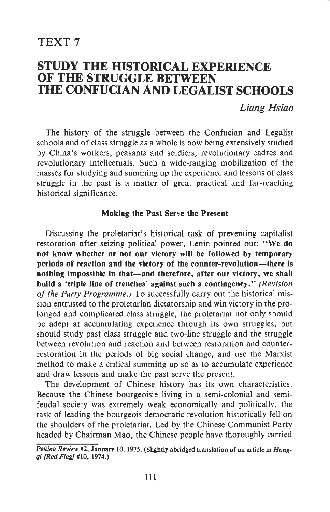## TEXT 7

# STUDY THE HISTORICAL EXPERIENCE OF THE STRUGGLE BETWEEN THE CONFUCIAN AND LEGALIST SCHOOLS

## Liang Hsiao

The history of the struggle between the Confucian and Legalist schools and of class struggle as a whole is now being extensively studied by China's workers, peasants and soldiers, revolutionary cadres and revolutionary intellectuals. Such a wide-ranging mobilization of the masses for studying and summing up the experience and lessons of class struggle in the past is a matter of great practical and far-reaching historical significance.

#### Making the Past Serve the Present

Discussing the proletariat's historical task of preventing capitalist restoration after seizing political power, Lenin pointed out: "We do not know whether or not our victory will be followed by temporary periods of reaction and the victory of the counter-revolution-there is nothing impossible in that—and therefore, after our victory, we shall build a 'triple line of trenches' against such a contingency." (Revision of the Party Programme.) To successfully carry out the historical mission entrusted to the proletarian dictatorship and win victory in the prolonged and complicated class struggle, the proletariat not only should be adept at accumulating experience through its own struggles, but should study past class struggle and two-line struggle and the struggle between revolution and reaction and between restoration and counterrestoration in the periods of big social change, and use the Marxist method to make a critical summing up so as to accumulate experience and draw lessons and make the past serve the present.

The development of Chinese history has its own characteristics. Because the Chinese bourgeoisie living in a semi-colonial and semifeudal society was extremely weak economically and politically, the task of leading the bourgeois democratic revolution historically fell on the shoulders of the proletariat. Led by the Chinese Communist Party headed by Chairman Mao, the Chinese people have thoroughly carried

Peking Review #2, January 10, 1975. (Slightly abridged translation of an article in Hongqi [Red Flag] #10, 1974.)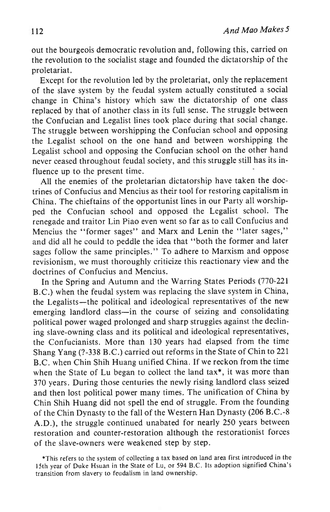out the bourgeois democratic revolution and, following this, carried on the revolution to the socialist stage and founded the dictatorship of the proletariat.

Except for the revolution led by the proletariat, only the replacement of the slave system by the feudal system actually constituted a social change in China's history which saw the dictatorship of one class replaced by that of another class in its full sense. The struggle between the Confucian and Legalist lines took place during that social change. The struggle between worshipping the Confucian school and opposing the Legalist school on the one hand and between worshipping the Legalist school and opposing the Confucian school on the other hand never ceased throughout feudal society, and this struggle still has its influence up to the present time.

All the enemies of the proletarian dictatorship have taken the doctrines of Confucius and Mencius as their tool for restoring capitalism in China. The chieftains of the opportunist lines in our Party all worshipped the Confucian school and opposed the Legalist school. The renegade and traitor Lin Piao even went so far as to call Confucius and Mencius the "former sages" and Marx and Lenin the "later sages," and did all he could to peddle the idea that "both the former and later sages follow the same principles." To adhere to Marxism and oppose revisionism, we must thoroughly criticize this reactionary view and the doctrines of Confucius and Mencius.

In the Spring and Autumn and the Warring States Periods (770-221) B.C.) when the feudal system was replacing the slave system in China, the Legalists-the political and ideological representatives of the new emerging landlord class-in the course of seizing and consolidating political power waged prolonged and sharp struggles against the declining slave-owning class and its political and ideological representatives, the Confucianists. More than 130 years had elapsed from the time Shang Yang (?-338 B.C.) carried out reforms in the State of Chin to 221 B.C. when Chin Shih Huang unified China. If we reckon from the time when the State of Lu began to collect the land tax\*, it was more than 370 years. During those centuries the newly rising landlord class seized and then lost political power many times. The unification of China by Chin Shih Huang did not spell the end of struggle. From the founding of the Chin Dynasty to the fall of the Western Han Dynasty (206 B.C.-8 A.D.), the struggle continued unabated for nearly 250 years between restoration and counter-restoration although the restorationist forces of the slave-owners were weakened step by step.

rThis refers to the system of collecting a tax based on land area first introduced in the l5th year of Duke Hsuan in the State of Lu, or 594 B.C. Its adoption signified China's transition from slavery to feudalism in land ownership.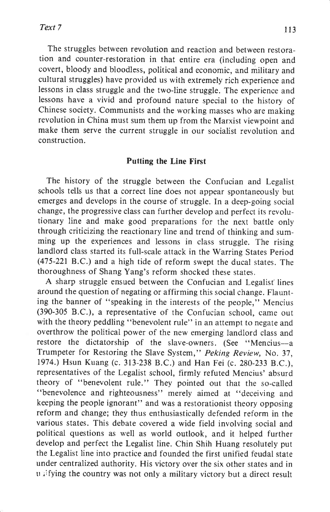The struggles between revolution and reaction and between restoration and counter-restoration in that entire era (including open and covert, bloody and bloodless, political and economic, and military and cultural struggles) have provided us with extremely rich experience and lessons in class struggle and the two-line struggle. The experience and lessons have a vivid and profound nature special to the history of Chinese society. Communists and the working masses who are making revolution in China must sum them up from the Marxist viewpoint and make them serve the current struggle in our socialist revolution and construction.

#### Putting the Line First

The history of the struggle between the Confucian and Legalist schools tells us that a correct line does not appear spontaneously but emerges and develops in the course of struggle. In a deep-going social change, the progressive class can further develop and perfect its revolutionary line and make good preparations for the next battle only through criticizing the reactionary line and trend of thinking and summing up the experiences and lessons in class struggle. The rising landlord class started its full-scale attack in the Warring States period (475-221 B.C.) and a high tide of reform swept the ducal states. The thoroughness of Shang Yang's reform shocked these states.

A sharp struggle ensued between the Confucian and Legalist'lines around the question of negating or affirming this social change. Flaunting the banner of "speaking in the interests of the people," Mencius (390-305 B.C.), a representative of the Confucian school, came out with the theory peddling "benevolent rule" in an attempt to negate and overthrow the political power of the new emerging landlord class and restore the dictatorship of the slave-owners. (See "Mencius-a Trumpeter for Restoring the Slave System," Peking Review, No. 37, 1974.) Hsun Kuang (c. 313-238 B.C.) and Han Fei (c.280-233 B.C.), representatives of the Legalist school, firmly refuted Mencius' absurd theory of "benevolent rule." They pointed out that the so-called "benevolence and righteousness" merely aimed at "deceiving and keeping the people ignorant" and was a restorationist theory opposing reform and change; they thus enthusiastically defended reform in the various states. This debate covered a wide field involving social and political questions as well as world outlook, and it helped further develop and perfect the Legalist line. Chin Shih Huang resolutely put the Legalist line into practice and founded the first unified feudal state under centralized authority. His victory over the six other states and in u rifying the country was not only a military victory but a direct result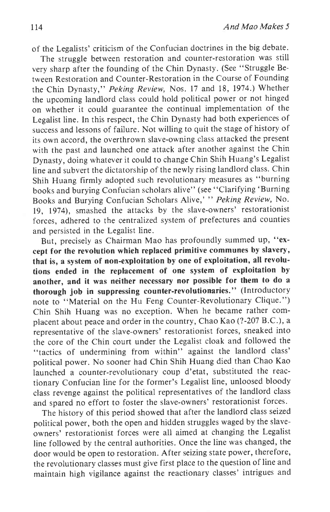of the Legalists' criticism of the Confucian doctrines in the big debate.

The struggle between restoration and counter-restoration was still very sharp after the founding of the Chin Dynasty. (See "Struggle Between Restoration and Counter-Restoration in the Course of Founding the Chin Dynasty," Peking Review, Nos. 17 and 18, 1974.) Whether the upcoming landlord class could hold political power or not hinged on whether it could guarantee the continual implementation of the Legalist line. In this respect, the Chin Dynasty had both experiences of success and lessons of failure. Not willing to quit the stage of history of its own accord, the overthrown slave-owning class attacked the present with the past and launched one attack after another against the Chin Dynasty, doing whatever it could to change Chin Shih Huang's Legalist line and subvert the dictatorship of the newly rising landlord class. Chin Shih Huang firmly adopted such revolutionary measures as "burning books and burying Confucian scholars alive" (see "Clarifying 'Burning Books and Burying Confucian Scholars Alive,' " Peking Revlew, No. 19, 1974), smashed the attacks by the slave-owners' restorationist forces, adhered to the centralized system of prefectures and counties and persisted in the Legalist line.

But, precisely as Chairman Mao has profoundly summed up, "except for the revolution which replaced primitive communes by slavery, that is, a system of non-exploitation by one of exploitation, all revolutions ended in the replacement of one system of exploitation by another, and it was neither necessary nor possible for them to do <sup>a</sup> thorough job in suppressing counter-revolutionaries." (Introductory note to "Material on the Hu Feng Counter-Revolutionary Clique.") Chin Shih Huang was no exception. When he became rather complacent about peace and order in the country, Chao Kao (?-207 B.C.), a representative of the slave-owners' restorationist forces, sneaked into the core of the Chin court under the Legalist cloak and followed the "tactics of undermining from within" against the landlord class' political power. No sooner had Chin Shih Huang died than Chao Kao launched a counter-revolutionary coup d'etat, substituted the reactionary Confucian line for the former's Legalist line, unloosed bloody class revenge against the political representatives of the landlord class and spared no effort to foster the slave-owners' restorationist forces.

The history of this period showed that after the landlord class seized political power, both the open and hidden struggles waged by the slaveowners' restorationist forces were all aimed at changing the Legalist line followed by the central authorities. Once the line was changed, the door would be open to restoration. After seizing state power, therefore, the revolutionary classes must give first place to the question of line and maintain high vigilance against the reactionary classes' intrigues and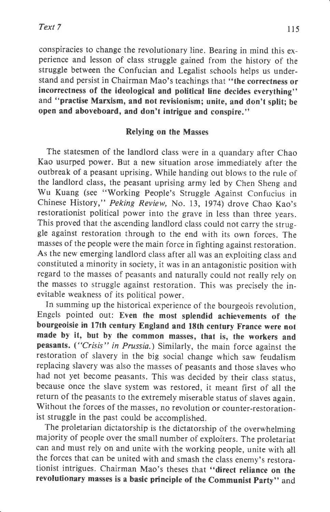conspiracies to change the revolutionary line. Bearing in mind this experience and lesson of class struggle gained from the history of the struggle between the Confucian and Legalist schools helps us understand and persist in Chairman Mao's teachings that "the correctness or incorrectness of the ideological and political line decides everything" and "practise Marxism, and not revisionism; unite, and don't split; be open and aboveboard, and don't intrigue and conspire."

#### Relying on the Masses

The statesmen of the landlord class were in a quandary after Chao Kao usurped power. But a new situation arose immediately after the outbreak of a peasant uprising. While handing out blows to the rule of the landlord class, the peasant uprising army led by Chen Sheng and Wu Kuang (see "Working People's Struggle Against Confucius in Chinese History," Peking Review, No. 13, 1974) drove Chao Kao's restorationist political power into the grave in less than three years. This proved that the ascending landlord class could not carry the struggle against restoration through to the end with its own forces. The masses of the people were the main force in fighting against restoration. As the new emerging landlord class after all was an exploiting class and constituted a minority in society, it was in an antagonistic position with regard to the masses of peasants and naturally could not really rely on the masses to struggle against restoration. This was precisely the inevitable weakness of its political power.

In summing up the historical experience of the bourgeois revolution, Engels pointed out: Even the most splendid achievements of the bourgeoisie in 17th century England and 18th century France were not made by it, but by the common masses, that is, the workers and peasants. ("Crisis" in Prussia.) Similarly, the main force against the restoration of slavery in the big social change which saw feudalism replacing slavery was also the masses of peasants and those slaves who had not yet become peasants. This was decided by their class status, because once the slave system was restored, it meant first of all the return of the peasants to the extremely miserable status of slaves again. without the forces of the masses, no revolution or counter-restorationist struggle in the past could be accomplished.

The proletarian dictatorship is the dictatorship of the overwhelming majority of people over the small number of exploiters. The proletariat can and must rely on and unite with the working people, unite with all the forces that can be united with and smash the class enemy's restorationist intrigues. Chairman Mao's theses that "direct reliance on the revolutionary masses is a basic principle of the Communist Party" and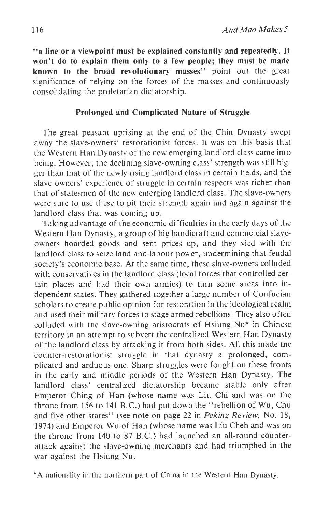"a line or a viewpoint must be explained constantly and repeatedly. It won't do to explain them only to a few people; they must be made known to the broad revolutionary masses" point out the great significance of relying on the forces of the masses and continuously consolidating the proletarian dictatorship.

#### Prolonged and Complicated Nature of Struggle

The great peasant uprising at the end of the Chin Dynasty swept away the slave-owners' restorationist forces. It was on this basis that the Western Han Dynasty of the new emerging landlord class came into being. However, the declining slave-owning class' strength was still bigger than that of the newly rising landlord class in certain fields, and the slave-owners' experience of struggle in certain respects was richer than that of statesmen of the new emerging landlord class. The slave-owners were sure to use these to pit their strength again and again against the landlord class that was coming up.

Taking advantage of the economic difficulties in the early days of the Western Han Dynasty, a group of big handicraft and commercial slaveowners hoarded goods and sent prices up, and they vied with the landlord class to seize land and labour power, undermining that feudal society's economic base. At the same time, these slave-owners colluded with conservatives in the landlord class (local forces that controlled certain places and had their own armies) to turn some areas into independent states. They gathered together a large number of Confucian scholars to create public opinion for restoration in the ideological realm and used their military forces to stage armed rebellions. They also often colluded with the slave-owning aristocrats of Hsiung Nu\* in Chinese territory in an attempt to subvert the centralized Western Han Dynasty of the landlord class by attacking it from both sides. All this made the counter-restorationist struggle in that dynasty a prolonged, complicated and arduous one. Sharp struggles were fought on these fronts in the early and middle periods of the Western Han Dynasty. The landlord class' centralized dictatorship became stable only after Emperor Ching of Han (whose name was Liu Chi and was on the throne from 156 to 141 B.C.) had put down the "rebellion of Wu, Chu and five other states" (see note on page 22 in Peking Review, No. 18, 1974) and Emperor Wu of Han (whose name was Liu Cheh and was on the throne from 140 to 87 B.C.) had launched an all-round counterattack against the slave-owning merchants and had triumphed in the war against the Hsiung Nu.

\*A nationality in the northern part of China in the Western Han Dynasty.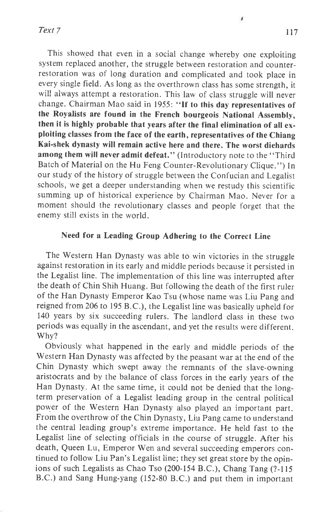This showed that even in a social change whereby one exploiting system replaced another, the struggle between restoration and counterrestoration was of long duration and complicated and took place in every single field. As long as the overthrown class has some strength, it will always attempt a restoration. This law of class struggle will never change. Chairman Mao said in 1955: "If to this day representatives of the Royalists are found in the French bourgeois National Assembly, then it is highly probable that years after the final elimination of all exploiting classes from the face of the earth, representatives of the Chiang Kai-shek dynasty will remain active here and there. The worst diehards among them will never admit defeat." (Introductory note to the "Third Batch of Material on the Hu Feng Counter-Revolutionary Clique.") In our study of the history of struggle between the Confucian and Legalist schools, we get a deeper understanding when we restudy this scientific summing up of historical experience by Chairman Mao. Never for <sup>a</sup> moment should the revolutionary classes and people forget that the enemy still exists in the world.

## Need for a Leading Group Adhering to the Correct Line

The Western Han Dynasty was able to win victories in the struggle against restoration in its early and middle periods because it persisted in the Legalist line. The implementation of this line was interrupted after the death of Chin Shih Huang. But following the death of the first ruler of the Han Dynasty Emperor Kao Tsu (whose name was Liu Pang and reigned from 206 to 195 B.C.), the Legalist line was basically upheld for 140 years by six succeeding rulers. The landlord class in these two periods was equally in the ascendant, and yet the results were different. whv?

Obviously what happened in the early and middle periods of the Western Han Dynasty was affected by the peasant war at the end of the Chin Dynasty which swept away the remnants of the slave-owning aristocrats and by the balance of class forces in the early years of the Han Dynasty. At the same time, it could not be denied that the longterm preservation of a Legalist leading group in the central political power of the Western Han Dynasty also played an important part. From the overthrow of the Chin Dynasty, Liu Pang came to understand the central leading group's extreme importance. He held fast to the Legalist line of selecting officials in the course of struggle. After his death, Queen Lu, Emperor Wen and several succeeding emperors continued to follow Liu Pan's Legalist line; they set great store by the opinions of such Legalists as Chao Tso (200-154 B.C.), Chang Tang (?-115) B.C.) and Sang Hung-yang (152-80 B.C.) and put them in important

ł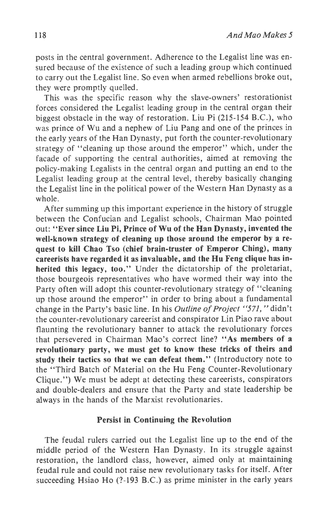posts in the central government. Adherence to the Legalist line was ensured because of the existence of such a leading group which continued to carry out the Legalist line. So even when armed rebellions broke out, they were promptly quelled.

This was the specific reason why the slave-owners' restorationist forces considered the Legalist leading group in the central organ their biggest obstacle in the way of restoration. Liu Pi (215-154 B.C.), who was prince of Wu and a nephew of Liu Pang and one of the princes in the early years of the Han Dynasty, put forth the counter-revolutionary strategy of "cleaning up those around the emperor" which, under the facade of supporting the central authorities, aimed at removing the policy-making Legalists in the central organ and putting an end to the Legalist leading group at the central level, thereby basically changing the Legalist line in the political power of the Western Han Dynasty as <sup>a</sup> whole.

After summing up this important experience in the history of struggle between the Confucian and Legalist schools, Chairman Mao pointed out: "Ever since Liu Pi, Prince of Wu of the Han Dynasiy, invented the well-known strategy of cleaning up those around the emperor by a request to kill Chao Tso (chief brain-truster of Emperor Ching), many careerists have regarded it as invaluable, and the Hu Feng clique has inherited this legacy, too." Under the dictatorship of the proletariat, those bourgeois representatives who have wormed their way into the Party often will adopt this counter-revolutionary strategy of "cleaning up those around the emperor" in order to bring about a fundamental change in the Party's basic line. In his *Outline of Project "571*," didn't the counter-revolutionary careerist and conspirator Lin Piao rave about flaunting the revolutionary banner to attack the revolutionary forces that persevered in Chairman Mao's correct line? "As members of <sup>a</sup> revolutionary party, we must get to know these tricks of theirs and study their tactics so that we can defeat them." (Introductory note to the "Third Batch of Material on the Hu Feng Counter-Revolutionary Clique.") We must be adept at detecting these careerists, conspirators and double-dealers and ensure that the Party and state leadership be always in the hands of the Marxist revolutionaries.

#### Persist in Continuing the Revolution

The feudal rulers carried out the Legalist line up to the end of the middle period of the Western Han Dynasty. In its struggle against restoration, the landlord class, however, aimed only at maintaining feudal rule and could not raise new revolutionary tasks for itself. After succeeding Hsiao Ho (?-193 B.C.) as prime minister in the early years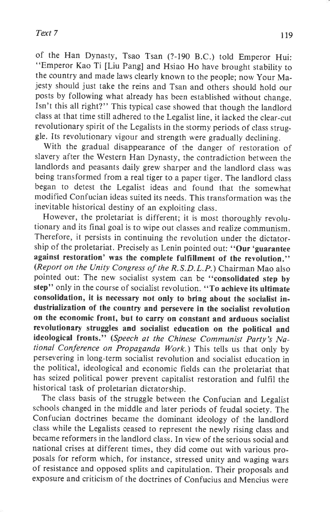of the Han Dynasty, Tsao Tsan (?-190 B.C.) told Emperor Hui: "Emperor Kao Ti [Liu Pang] and Hsiao Ho have brought stability to the country and made laws clearly known to the people; now your Majesty should just take the reins and Tsan and others should hold our posts by following what already has been established without change. Isn't this all right?" This typical case showed that though the landlord class at that time still adhered to the Legalist line, it lacked the clear-cut revolutionary spirit of the Legalists in the stormy periods of class struggle. Its revolutionary vigour and strength were gradually declining.

With the gradual disappearance of the danger of restoration of slavery after the Western Han Dynasty, the contradiction between the Iandlords and peasants daily grew sharper and the landlord class was being transformed from a real tiger to a paper tiger. The landlord class began to detest the Legalist ideas and found that the somewhat modified confucian ideas suited its needs. This transformation was the inevitable historical destiny of an exploiting class.

However, the proletariat is different; it is most thoroughly revolutionary and its final goal is to wipe out classes and realize communism. Therefore, it persists in continuing the revolution under the dictatorship of the proletariat. Precisely as Lenin pointed out: "Our 'guarantee against restoration' was the complete fulfillment of the revolution." (Report on the Unity Congress of the R.S.D.L.P.) Chairman Mao also pointed out: The new socialist system can be "consolidated step by step" only in the course of socialist revolution. "To achieve its ultimate consolidation, it is necessary not only to bring about the socialist industrialization of the country and persevere in the socialist revolution on the economic front, but to carry on constant and arduous socialist revolutionary struggles and socialist education on the political and ideological fronts." (Speech at the Chinese Communist Party's National Conference on Propaganda Work.) This tells us that only by persevering in long-term socialist revolution and socialist education in the political, ideological and economic fields can the proletariat that has seized political power prevent capitalist restoration and fulfil the historical task of proletarian dictatorship.

The class basis of the struggle between the Confucian and Legalist schools changed in the middle and later periods of feudal society. The Confucian doctrines became the dominant ideology of the landlord class while the Legalists ceased to represent the newly rising class and became reformers in the landlord class. In view of the serious social and national crises at different times, they did come out with various proposals for reform which, for instance, stressed unity and waging wars of resistance and opposed splits and capitulation. Their proposals and exposure and criticism of the doctrines of Confucius and Mencius were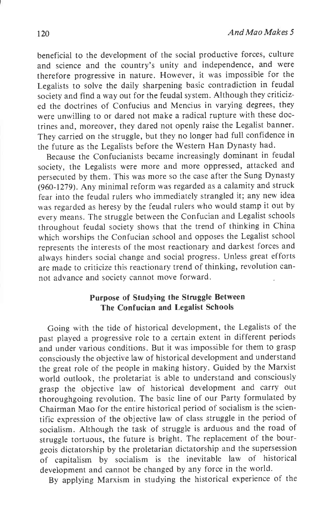beneficial to the development of the social productive forces, culture and science and the country's unity and independence, and were therefore progressive in nature. However, it was impossible for the Legalists to solve the daily sharpening basic contradiction in feudal society and find a way out for the feudal system. Although they criticized the doctrines of Confucius and Mencius in varying degrees, they were unwilling to or dared not make a radical rupture with these doctrines and, moreover, they dared not openly raise the Legalist banner. They carried on the struggle, but they no longer had full confidence in the future as the Legalists before the Western Han Dynasty had.

Because the Confucianists became increasingly dominant in feudal society, the Legalists were more and more oppressed, attacked and persecuted by them. This was more so the case after the Sung Dynasty (960-1279). Any minimal reform was regarded as a calamity and struck fear into the feudal rulers who immediately strangled it; any new idea was regarded as heresy by the feudal rulers who would stamp it out by every means. The struggle between the Confucian and Legalist schools throughout feudal society shows that the trend of thinking in China which worships the Confucian school and opposes the Legalist school represents the interests of the most reactionary and darkest forces and ahvays hinders social change and social progress. Unless great efforts are made to criticize this reactionary trend of thinking, revolution cannot advance and society cannot move forward.

## Purpose of Studying the Struggle Between The Confucian and Legalist Schools

Going with the tide of historical development, the Legalists of the past played a progressive role to a certain extent in different periods and under various conditions. But it was impossible for them to grasp consciously the objective law of historical development and understand the great role of the people in making history. Guided by the Marxist world outlook, the proletariat is able to understand and consciously grasp the objective law of historical development and carry out thoroughgoing revolution. The basic line of our Party formulated by chairman Mao for the entire historical period of socialism is the scientific expression of the objective law of class struggle in the period of socialism. Although the task of struggle is arduous and the road of struggle tortuous, the future is bright. The replacement of the bourgeois dictatorship by the proletarian dictatorship and the supersession of capitalism by socialism is the inevitable law of historical development and cannot be changed by any force in the world.

By applying Marxism in studying the historical experience of the